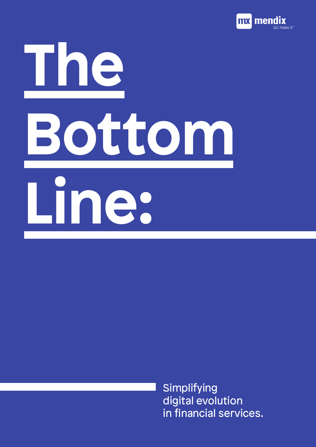

# **The Bottom Line:**

**Simplifying** digital evolution in financial services.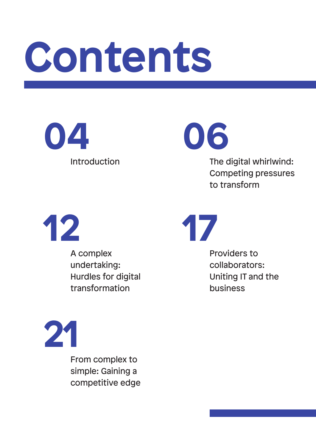### **Contents**

**04**

**06**

Introduction The digital whirlwind: Competing pressures to transform



A complex undertaking: Hurdles for digital transformation

**17**

Providers to collaborators: Uniting IT and the business



From complex to simple: Gaining a competitive edge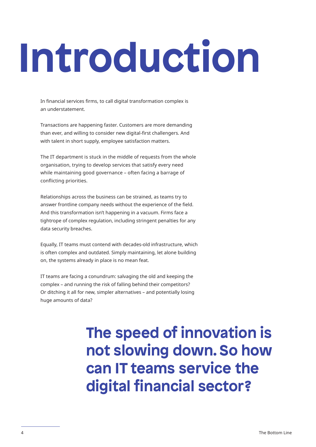## **Introduction**

In financial services firms, to call digital transformation complex is an understatement.

Transactions are happening faster. Customers are more demanding than ever, and willing to consider new digital-first challengers. And with talent in short supply, employee satisfaction matters.

The IT department is stuck in the middle of requests from the whole organisation, trying to develop services that satisfy every need while maintaining good governance – often facing a barrage of conflicting priorities.

Relationships across the business can be strained, as teams try to answer frontline company needs without the experience of the field. And this transformation isn't happening in a vacuum. Firms face a tightrope of complex regulation, including stringent penalties for any data security breaches.

Equally, IT teams must contend with decades-old infrastructure, which is often complex and outdated. Simply maintaining, let alone building on, the systems already in place is no mean feat.

IT teams are facing a conundrum: salvaging the old and keeping the complex – and running the risk of falling behind their competitors? Or ditching it all for new, simpler alternatives – and potentially losing huge amounts of data?

#### **The speed of innovation is not slowing down. So how can IT teams service the digital financial sector?**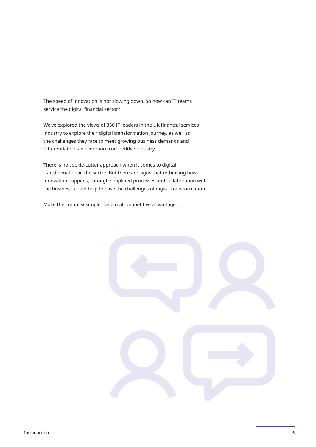The speed of innovation is not slowing down. So how can IT teams service the digital financial sector?

We've explored the views of 350 IT leaders in the UK financial services industry to explore their digital transformation journey, as well as the challenges they face to meet growing business demands and differentiate in an ever more competitive industry.

There is no cookie-cutter approach when it comes to digital transformation in the sector. But there are signs that rethinking how innovation happens, through simplified processes and collaboration with the business, could help to ease the challenges of digital transformation.

Make the complex simple, for a real competitive advantage.

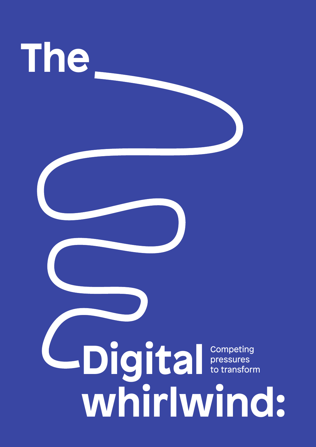

## **Digital** competing<br>to transform **whirlwind:**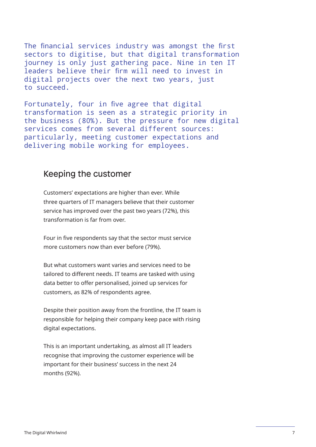The financial services industry was amongst the first sectors to digitise, but that digital transformation journey is only just gathering pace. Nine in ten IT leaders believe their firm will need to invest in digital projects over the next two years, just to succeed.

Fortunately, four in five agree that digital transformation is seen as a strategic priority in the business (80%). But the pressure for new digital services comes from several different sources: particularly, meeting customer expectations and delivering mobile working for employees.

#### Keeping the customer

Customers' expectations are higher than ever. While three quarters of IT managers believe that their customer service has improved over the past two years (72%), this transformation is far from over.

Four in five respondents say that the sector must service more customers now than ever before (79%).

But what customers want varies and services need to be tailored to different needs. IT teams are tasked with using data better to offer personalised, joined up services for customers, as 82% of respondents agree.

Despite their position away from the frontline, the IT team is responsible for helping their company keep pace with rising digital expectations.

This is an important undertaking, as almost all IT leaders recognise that improving the customer experience will be important for their business' success in the next 24 months (92%).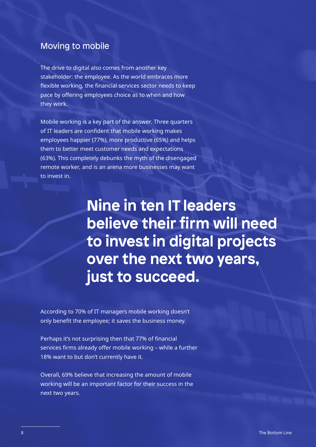#### Moving to mobile

The drive to digital also comes from another key stakeholder: the employee. As the world embraces more flexible working, the financial services sector needs to keep pace by offering employees choice as to when and how they work.

Mobile working is a key part of the answer. Three quarters of IT leaders are confident that mobile working makes employees happier (77%), more productive (65%) and helps them to better meet customer needs and expectations (63%). This completely debunks the myth of the disengaged remote worker, and is an arena more businesses may want to invest in.

> **Nine in ten IT leaders believe their firm will need to invest in digital projects over the next two years, just to succeed.**

According to 70% of IT managers mobile working doesn't only benefit the employee; it saves the business money.

Perhaps it's not surprising then that 77% of financial services firms already offer mobile working – while a further 18% want to but don't currently have it.

Overall, 69% believe that increasing the amount of mobile working will be an important factor for their success in the next two years.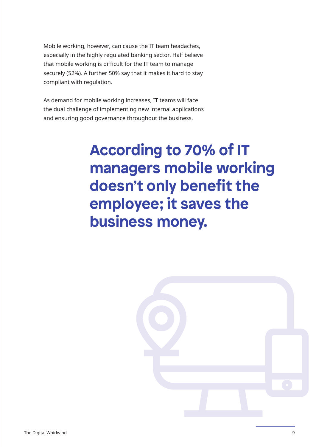Mobile working, however, can cause the IT team headaches, especially in the highly regulated banking sector. Half believe that mobile working is difficult for the IT team to manage securely (52%). A further 50% say that it makes it hard to stay compliant with regulation.

As demand for mobile working increases, IT teams will face the dual challenge of implementing new internal applications and ensuring good governance throughout the business.

> **According to 70% of IT managers mobile working doesn't only benefit the employee; it saves the business money.**

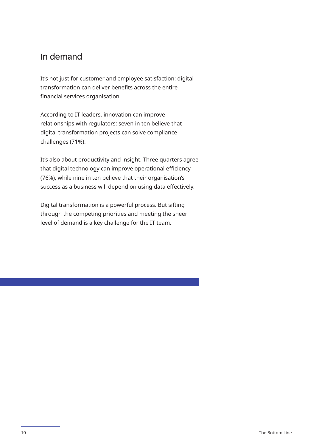#### In demand

It's not just for customer and employee satisfaction: digital transformation can deliver benefits across the entire financial services organisation.

According to IT leaders, innovation can improve relationships with regulators; seven in ten believe that digital transformation projects can solve compliance challenges (71%).

It's also about productivity and insight. Three quarters agree that digital technology can improve operational efficiency (76%), while nine in ten believe that their organisation's success as a business will depend on using data effectively.

Digital transformation is a powerful process. But sifting through the competing priorities and meeting the sheer level of demand is a key challenge for the IT team.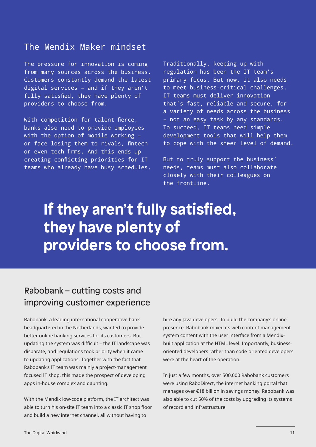#### The Mendix Maker mindset

The pressure for innovation is coming from many sources across the business. Customers constantly demand the latest digital services – and if they aren't fully satisfied, they have plenty of providers to choose from.

With competition for talent fierce, banks also need to provide employees with the option of mobile working – or face losing them to rivals, fintech or even tech firms. And this ends up creating conflicting priorities for IT teams who already have busy schedules.

Traditionally, keeping up with regulation has been the IT team's primary focus. But now, it also needs to meet business-critical challenges. IT teams must deliver innovation that's fast, reliable and secure, for a variety of needs across the business – not an easy task by any standards. To succeed, IT teams need simple development tools that will help them to cope with the sheer level of demand.

But to truly support the business' needs, teams must also collaborate closely with their colleagues on the frontline.

#### **If they aren't fully satisfied, they have plenty of providers to choose from.**

#### Rabobank – cutting costs and improving customer experience

Rabobank, a leading international cooperative bank headquartered in the Netherlands, wanted to provide better online banking services for its customers. But updating the system was difficult – the IT landscape was disparate, and regulations took priority when it came to updating applications. Together with the fact that Rabobank's IT team was mainly a project-management focused IT shop, this made the prospect of developing apps in-house complex and daunting.

With the Mendix low-code platform, the IT architect was able to turn his on-site IT team into a classic IT shop floor and build a new internet channel, all without having to

hire any Java developers. To build the company's online presence, Rabobank mixed its web content management system content with the user interface from a Mendixbuilt application at the HTML level. Importantly, businessoriented developers rather than code-oriented developers were at the heart of the operation.

In just a few months, over 500,000 Rabobank customers were using RaboDirect, the internet banking portal that manages over €18 billion in savings money. Rabobank was also able to cut 50% of the costs by upgrading its systems of record and infrastructure.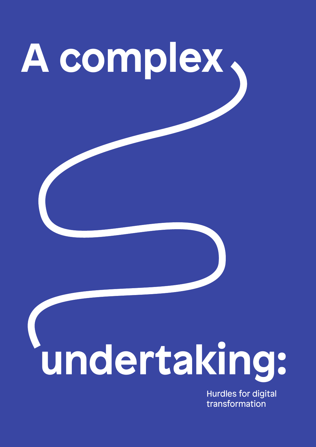

Hurdles for digital transformation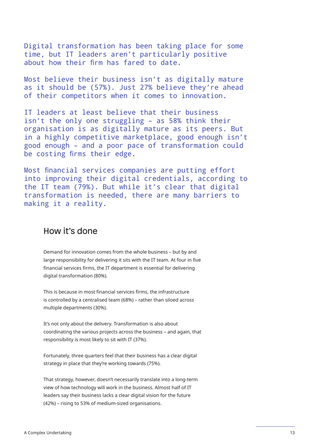Digital transformation has been taking place for some time, but IT leaders aren't particularly positive about how their firm has fared to date.

Most believe their business isn't as digitally mature as it should be (57%). Just 27% believe they're ahead of their competitors when it comes to innovation.

IT leaders at least believe that their business isn't the only one struggling – as 58% think their organisation is as digitally mature as its peers. But in a highly competitive marketplace, good enough isn't good enough – and a poor pace of transformation could be costing firms their edge.

Most financial services companies are putting effort into improving their digital credentials, according to the IT team (79%). But while it's clear that digital transformation is needed, there are many barriers to making it a reality.

#### How it's done

Demand for innovation comes from the whole business – but by and large responsibility for delivering it sits with the IT team. At four in five financial services firms, the IT department is essential for delivering digital transformation (80%).

This is because in most financial services firms, the infrastructure is controlled by a centralised team (68%) – rather than siloed across multiple departments (30%).

It's not only about the delivery. Transformation is also about coordinating the various projects across the business – and again, that responsibility is most likely to sit with IT (37%).

Fortunately, three quarters feel that their business has a clear digital strategy in place that they're working towards (75%).

That strategy, however, doesn't necessarily translate into a long-term view of how technology will work in the business. Almost half of IT leaders say their business lacks a clear digital vision for the future (42%) – rising to 53% of medium-sized organisations.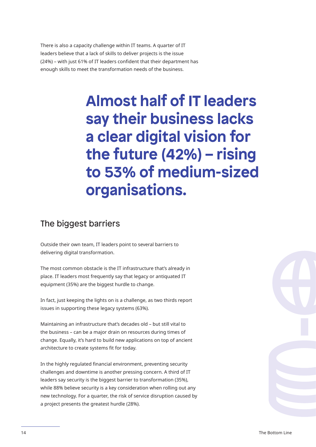There is also a capacity challenge within IT teams. A quarter of IT leaders believe that a lack of skills to deliver projects is the issue (24%) – with just 61% of IT leaders confident that their department has enough skills to meet the transformation needs of the business.

> **Almost half of IT leaders say their business lacks a clear digital vision for the future (42%) – rising to 53% of medium-sized organisations.**

#### The biggest barriers

Outside their own team, IT leaders point to several barriers to delivering digital transformation.

The most common obstacle is the IT infrastructure that's already in place. IT leaders most frequently say that legacy or antiquated IT equipment (35%) are the biggest hurdle to change.

In fact, just keeping the lights on is a challenge, as two thirds report issues in supporting these legacy systems (63%).

Maintaining an infrastructure that's decades old – but still vital to the business – can be a major drain on resources during times of change. Equally, it's hard to build new applications on top of ancient architecture to create systems fit for today.

In the highly regulated financial environment, preventing security challenges and downtime is another pressing concern. A third of IT leaders say security is the biggest barrier to transformation (35%), while 88% believe security is a key consideration when rolling out any new technology. For a quarter, the risk of service disruption caused by a project presents the greatest hurdle (28%).

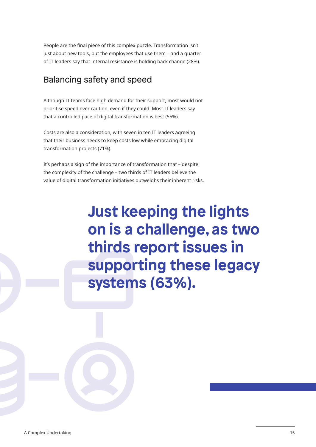People are the final piece of this complex puzzle. Transformation isn't just about new tools, but the employees that use them – and a quarter of IT leaders say that internal resistance is holding back change (28%).

#### Balancing safety and speed

Although IT teams face high demand for their support, most would not prioritise speed over caution, even if they could. Most IT leaders say that a controlled pace of digital transformation is best (55%).

Costs are also a consideration, with seven in ten IT leaders agreeing that their business needs to keep costs low while embracing digital transformation projects (71%).

It's perhaps a sign of the importance of transformation that – despite the complexity of the challenge – two thirds of IT leaders believe the value of digital transformation initiatives outweighs their inherent risks.

> **Just keeping the lights on is a challenge, as two thirds report issues in supporting these legacy systems (63%).**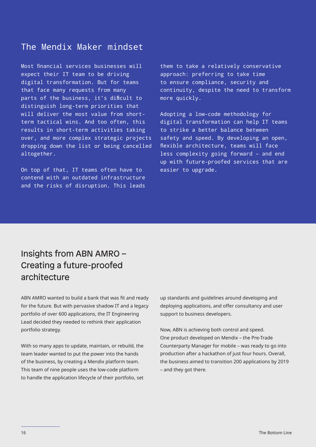#### The Mendix Maker mindset

Most financial services businesses will expect their IT team to be driving digital transformation. But for teams that face many requests from many parts of the business, it's difficult to distinguish long-term priorities that will deliver the most value from shortterm tactical wins. And too often, this results in short-term activities taking over, and more complex strategic projects dropping down the list or being cancelled altogether.

On top of that, IT teams often have to contend with an outdated infrastructure and the risks of disruption. This leads them to take a relatively conservative approach: preferring to take time to ensure compliance, security and continuity, despite the need to transform more quickly.

Adopting a low-code methodology for digital transformation can help IT teams to strike a better balance between safety and speed. By developing an open, flexible architecture, teams will face less complexity going forward – and end up with future-proofed services that are easier to upgrade.

#### Insights from ABN AMRO – Creating a future-proofed architecture

ABN AMRO wanted to build a bank that was fit and ready for the future. But with pervasive shadow IT and a legacy portfolio of over 600 applications, the IT Engineering Lead decided they needed to rethink their application portfolio strategy.

With so many apps to update, maintain, or rebuild, the team leader wanted to put the power into the hands of the business, by creating a Mendix platform team. This team of nine people uses the low-code platform to handle the application lifecycle of their portfolio, set up standards and guidelines around developing and deploying applications, and offer consultancy and user support to business developers.

Now, ABN is achieving both control and speed. One product developed on Mendix – the Pre-Trade Counterparty Manager for mobile – was ready to go into production after a hackathon of just four hours. Overall, the business aimed to transition 200 applications by 2019 – and they got there.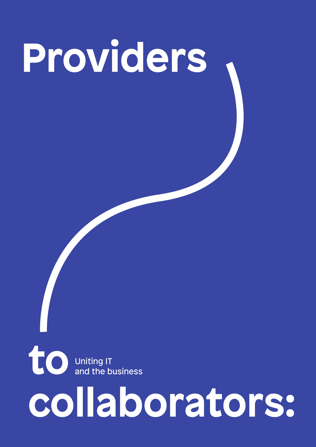## **Providers**

**to**  Uniting IT and the business

### **collaborators:**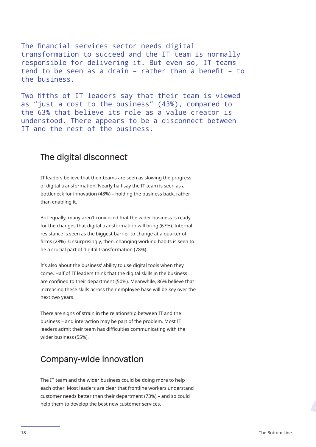The financial services sector needs digital transformation to succeed and the IT team is normally responsible for delivering it. But even so, IT teams tend to be seen as a drain – rather than a benefit – to the business.

Two fifths of IT leaders say that their team is viewed as "just a cost to the business" (43%), compared to the 63% that believe its role as a value creator is understood. There appears to be a disconnect between IT and the rest of the business.

#### The digital disconnect

IT leaders believe that their teams are seen as slowing the progress of digital transformation. Nearly half say the IT team is seen as a bottleneck for innovation (48%) – holding the business back, rather than enabling it.

But equally, many aren't convinced that the wider business is ready for the changes that digital transformation will bring (67%). Internal resistance is seen as the biggest barrier to change at a quarter of firms (28%). Unsurprisingly, then, changing working habits is seen to be a crucial part of digital transformation (78%).

It's also about the business' ability to use digital tools when they come. Half of IT leaders think that the digital skills in the business are confined to their department (50%). Meanwhile, 86% believe that increasing these skills across their employee base will be key over the next two years.

There are signs of strain in the relationship between IT and the business – and interaction may be part of the problem. Most IT leaders admit their team has difficulties communicating with the wider business (55%).

#### Company-wide innovation

The IT team and the wider business could be doing more to help each other. Most leaders are clear that frontline workers understand customer needs better than their department (73%) – and so could help them to develop the best new customer services.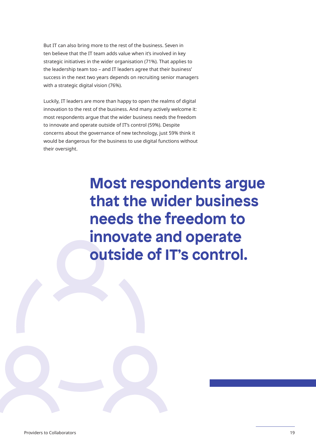But IT can also bring more to the rest of the business. Seven in ten believe that the IT team adds value when it's involved in key strategic initiatives in the wider organisation (71%). That applies to the leadership team too – and IT leaders agree that their business' success in the next two years depends on recruiting senior managers with a strategic digital vision (76%).

Luckily, IT leaders are more than happy to open the realms of digital innovation to the rest of the business. And many actively welcome it: most respondents argue that the wider business needs the freedom to innovate and operate outside of IT's control (59%). Despite concerns about the governance of new technology, just 59% think it would be dangerous for the business to use digital functions without their oversight.

> **Most respondents argue that the wider business needs the freedom to innovate and operate outside of IT's control.**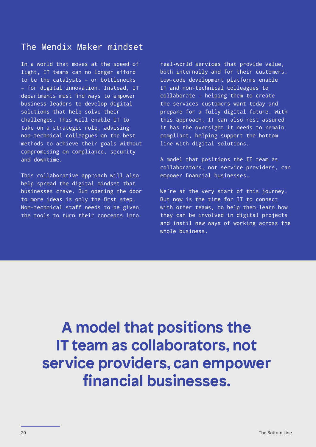#### The Mendix Maker mindset

In a world that moves at the speed of light, IT teams can no longer afford to be the catalysts – or bottlenecks – for digital innovation. Instead, IT departments must find ways to empower business leaders to develop digital solutions that help solve their challenges. This will enable IT to take on a strategic role, advising non-technical colleagues on the best methods to achieve their goals without compromising on compliance, security and downtime.

This collaborative approach will also help spread the digital mindset that businesses crave. But opening the door to more ideas is only the first step. Non-technical staff needs to be given the tools to turn their concepts into

real-world services that provide value, both internally and for their customers. Low-code development platforms enable IT and non-technical colleagues to collaborate – helping them to create the services customers want today and prepare for a fully digital future. With this approach, IT can also rest assured it has the oversight it needs to remain compliant, helping support the bottom line with digital solutions.

A model that positions the IT team as collaborators, not service providers, can empower financial businesses.

We're at the very start of this journey. But now is the time for IT to connect with other teams, to help them learn how they can be involved in digital projects and instil new ways of working across the whole business.

**A model that positions the IT team as collaborators, not service providers, can empower financial businesses.**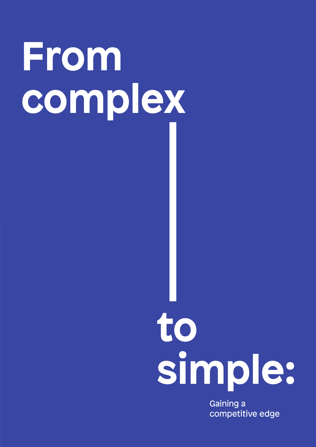### **From complex**

### **to simple:**

Gaining a competitive edge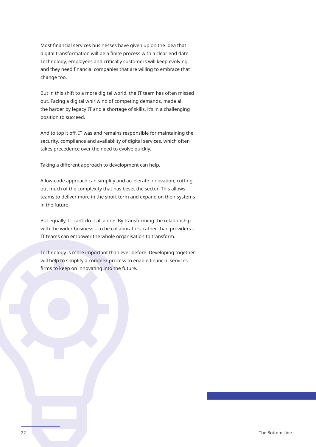Most financial services businesses have given up on the idea that digital transformation will be a finite process with a clear end date. Technology, employees and critically customers will keep evolving – and they need financial companies that are willing to embrace that change too.

But in this shift to a more digital world, the IT team has often missed out. Facing a digital whirlwind of competing demands, made all the harder by legacy IT and a shortage of skills, it's in a challenging position to succeed.

And to top it off, IT was and remains responsible for maintaining the security, compliance and availability of digital services, which often takes precedence over the need to evolve quickly.

Taking a different approach to development can help.

A low-code approach can simplify and accelerate innovation, cutting out much of the complexity that has beset the sector. This allows teams to deliver more in the short term and expand on their systems in the future.

But equally, IT can't do it all alone. By transforming the relationship with the wider business – to be collaborators, rather than providers – IT teams can empower the whole organisation to transform.

Technology is more important than ever before. Developing together will help to simplify a complex process to enable financial services firms to keep on innovating into the future.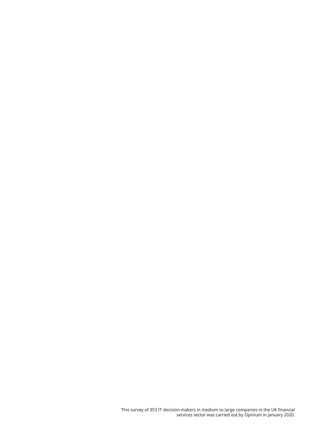This survey of 353 IT decision-makers in medium to large companies in the UK financial services sector was carried out by Opinium in January 2020.